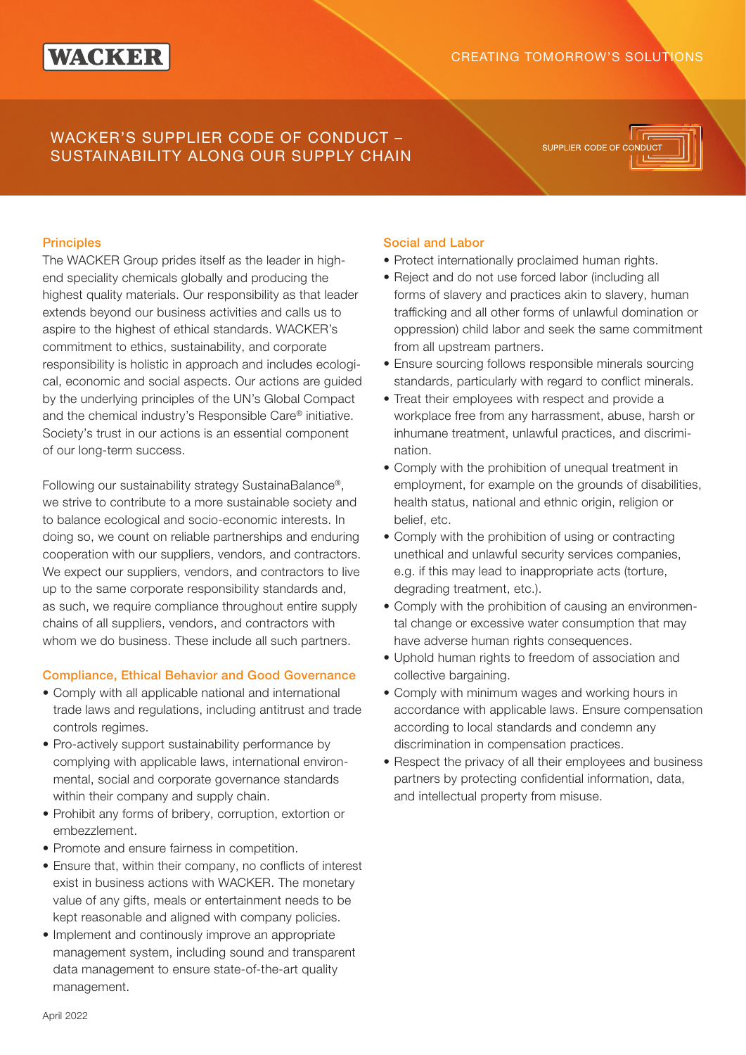# WACKER

### CREATING TOMORROW'S SOLUTIONS

## WACKER'S SUPPLIER CODE OF CONDUCT – SUSTAINABILITY ALONG OUR SUPPLY CHAIN

SUPPLIER CODE OF CO

#### **Principles**

The WACKER Group prides itself as the leader in highend speciality chemicals globally and producing the highest quality materials. Our responsibility as that leader extends beyond our business activities and calls us to aspire to the highest of ethical standards. WACKER's commitment to ethics, sustainability, and corporate responsibility is holistic in approach and includes ecological, economic and social aspects. Our actions are guided by the underlying principles of the UN's Global Compact and the chemical industry's Responsible Care® initiative. Society's trust in our actions is an essential component of our long-term success.

Following our sustainability strategy SustainaBalance®, we strive to contribute to a more sustainable society and to balance ecological and socio-economic interests. In doing so, we count on reliable partnerships and enduring cooperation with our suppliers, vendors, and contractors. We expect our suppliers, vendors, and contractors to live up to the same corporate responsibility standards and, as such, we require compliance throughout entire supply chains of all suppliers, vendors, and contractors with whom we do business. These include all such partners.

#### Compliance, Ethical Behavior and Good Governance

- Comply with all applicable national and international trade laws and regulations, including antitrust and trade controls regimes.
- Pro-actively support sustainability performance by complying with applicable laws, international environmental, social and corporate governance standards within their company and supply chain.
- Prohibit any forms of bribery, corruption, extortion or embezzlement.
- Promote and ensure fairness in competition.
- Ensure that, within their company, no conflicts of interest exist in business actions with WACKER. The monetary value of any gifts, meals or entertainment needs to be kept reasonable and aligned with company policies.
- Implement and continously improve an appropriate management system, including sound and transparent data management to ensure state-of-the-art quality management.

#### Social and Labor

- Protect internationally proclaimed human rights.
- Reject and do not use forced labor (including all forms of slavery and practices akin to slavery, human trafficking and all other forms of unlawful domination or oppression) child labor and seek the same commitment from all upstream partners.
- Ensure sourcing follows responsible minerals sourcing standards, particularly with regard to conflict minerals.
- Treat their employees with respect and provide a workplace free from any harrassment, abuse, harsh or inhumane treatment, unlawful practices, and discrimination.
- Comply with the prohibition of unequal treatment in employment, for example on the grounds of disabilities, health status, national and ethnic origin, religion or belief, etc.
- Comply with the prohibition of using or contracting unethical and unlawful security services companies, e.g. if this may lead to inappropriate acts (torture, degrading treatment, etc.).
- Comply with the prohibition of causing an environmental change or excessive water consumption that may have adverse human rights consequences.
- Uphold human rights to freedom of association and collective bargaining.
- Comply with minimum wages and working hours in accordance with applicable laws. Ensure compensation according to local standards and condemn any discrimination in compensation practices.
- Respect the privacy of all their employees and business partners by protecting confidential information, data, and intellectual property from misuse.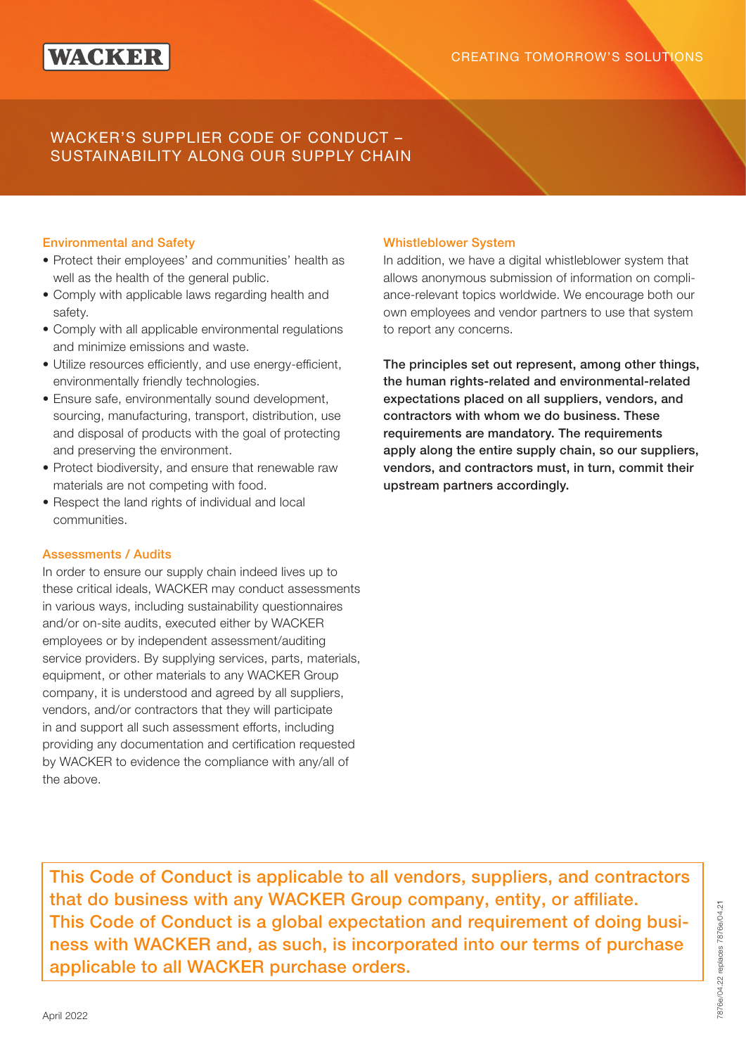## WACKER'S SUPPLIER CODE OF CONDUCT – SUSTAINABILITY ALONG OUR SUPPLY CHAIN

#### Environmental and Safety

- Protect their employees' and communities' health as well as the health of the general public.
- Comply with applicable laws regarding health and safety.
- Comply with all applicable environmental regulations and minimize emissions and waste.
- Utilize resources efficiently, and use energy-efficient, environmentally friendly technologies.
- Ensure safe, environmentally sound development, sourcing, manufacturing, transport, distribution, use and disposal of products with the goal of protecting and preserving the environment.
- Protect biodiversity, and ensure that renewable raw materials are not competing with food.
- Respect the land rights of individual and local communities.

#### Assessments / Audits

In order to ensure our supply chain indeed lives up to these critical ideals, WACKER may conduct assessments in various ways, including sustainability questionnaires and/or on-site audits, executed either by WACKER employees or by independent assessment/auditing service providers. By supplying services, parts, materials, equipment, or other materials to any WACKER Group company, it is understood and agreed by all suppliers, vendors, and/or contractors that they will participate in and support all such assessment efforts, including providing any documentation and certification requested by WACKER to evidence the compliance with any/all of the above.

#### Whistleblower System

In addition, we have a digital whistleblower system that allows anonymous submission of information on compliance-relevant topics worldwide. We encourage both our own employees and vendor partners to use that system to report any concerns.

The principles set out represent, among other things, the human rights-related and environmental-related expectations placed on all suppliers, vendors, and contractors with whom we do business. These requirements are mandatory. The requirements apply along the entire supply chain, so our suppliers, vendors, and contractors must, in turn, commit their upstream partners accordingly.

This Code of Conduct is applicable to all vendors, suppliers, and contractors that do business with any WACKER Group company, entity, or affiliate. This Code of Conduct is a global expectation and requirement of doing business with WACKER and, as such, is incorporated into our terms of purchase applicable to all WACKER purchase orders.